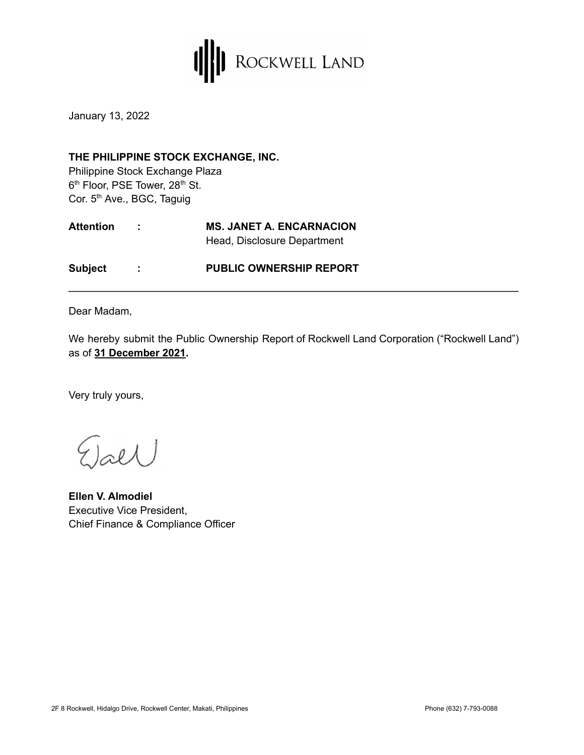

January 13, 2022

## **THE PHILIPPINE STOCK EXCHANGE, INC.**

Philippine Stock Exchange Plaza 6<sup>th</sup> Floor, PSE Tower, 28<sup>th</sup> St. Cor. 5<sup>th</sup> Ave., BGC, Taguig

| <b>Attention</b> | <b>Contract</b> | <b>MS. JANET A. ENCARNACION</b><br>Head, Disclosure Department |  |
|------------------|-----------------|----------------------------------------------------------------|--|
| <b>Subject</b>   |                 | <b>PUBLIC OWNERSHIP REPORT</b>                                 |  |

Dear Madam,

We hereby submit the Public Ownership Report of Rockwell Land Corporation ("Rockwell Land") as of **31 December 2021.**

Very truly yours,

 $_{\text{refl}}$ 

**Ellen V. Almodiel** Executive Vice President, Chief Finance & Compliance Officer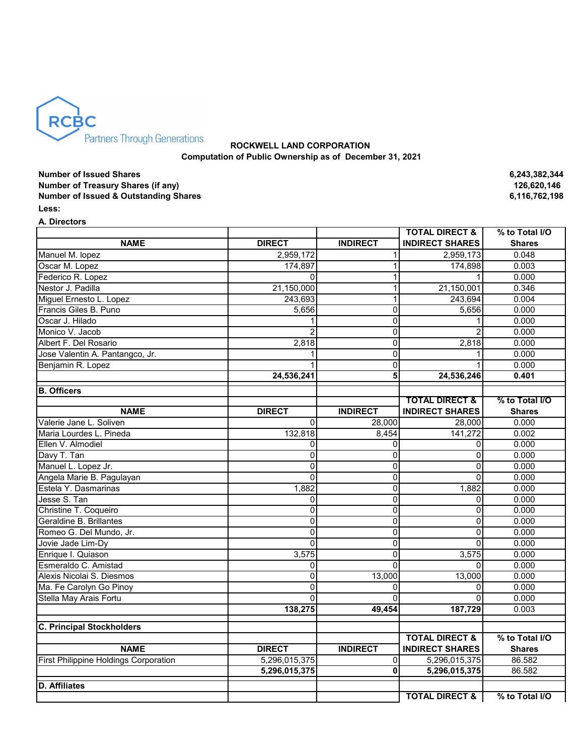

## **ROCKWELL LAND CORPORATION Computation of Public Ownership as of December 31, 2021**

**Number of Issued Shares 6,243,382,344 Number of Treasury Shares (if any) Number of Issued & Outstanding Shares 6,116,762,198 Less:** 

**A. Directors**

|                                              |                |                 | <b>TOTAL DIRECT &amp;</b> | % to Total I/O |
|----------------------------------------------|----------------|-----------------|---------------------------|----------------|
| <b>NAME</b>                                  | <b>DIRECT</b>  | <b>INDIRECT</b> | <b>INDIRECT SHARES</b>    | <b>Shares</b>  |
| Manuel M. lopez                              | 2,959,172      | 1               | 2,959,173                 | 0.048          |
| Oscar M. Lopez                               | 174,897        | 1               | 174,898                   | 0.003          |
| Federico R. Lopez                            | 0              | 1               |                           | 0.000          |
| Nestor J. Padilla                            | 21,150,000     | $\mathbf{1}$    | 21,150,001                | 0.346          |
| Miguel Ernesto L. Lopez                      | 243,693        | 1               | 243,694                   | 0.004          |
| Francis Giles B. Puno                        | 5,656          | 0               | 5,656                     | 0.000          |
| Oscar J. Hilado                              |                | 0               | 1                         | 0.000          |
| Monico V. Jacob                              |                | 0               |                           | 0.000          |
| Albert F. Del Rosario                        | 2,818          | 0               | 2,818                     | 0.000          |
| Jose Valentin A. Pantangco, Jr.              |                | 0               |                           | 0.000          |
| Benjamin R. Lopez                            |                | $\mathbf 0$     |                           | 0.000          |
|                                              | 24,536,241     | 5               | 24,536,246                | 0.401          |
| <b>B.</b> Officers                           |                |                 |                           |                |
|                                              |                |                 | <b>TOTAL DIRECT &amp;</b> | % to Total I/O |
| <b>NAME</b>                                  | <b>DIRECT</b>  | <b>INDIRECT</b> | <b>INDIRECT SHARES</b>    | <b>Shares</b>  |
| Valerie Jane L. Soliven                      | $\Omega$       | 28.000          | 28.000                    | 0.000          |
| Maria Lourdes L. Pineda                      | 132,818        | 8,454           | 141,272                   | 0.002          |
| Ellen V. Almodiel                            | 0              | 0               | 0                         | 0.000          |
| Davy T. Tan                                  | 0              | 0               | 0                         | 0.000          |
| Manuel L. Lopez Jr.                          | 0              | 0               | 0                         | 0.000          |
| Angela Marie B. Pagulayan                    | 0              | 0               | $\mathbf 0$               | 0.000          |
| Estela Y. Dasmarinas                         | 1,882          | 0               | 1,882                     | 0.000          |
| Jesse S. Tan                                 | 0              | $\overline{0}$  | $\mathbf 0$               | 0.000          |
| Christine T. Coqueiro                        | $\overline{0}$ | $\overline{0}$  | $\overline{0}$            | 0.000          |
| Geraldine B. Brillantes                      | 0              | 0               | $\pmb{0}$                 | 0.000          |
| Romeo G. Del Mundo, Jr.                      | 0              | 0               | $\mathbf 0$               | 0.000          |
| Jovie Jade Lim-Dy                            | $\overline{0}$ | 0               | $\Omega$                  | 0.000          |
| Enrique I. Quiason                           | 3,575          | 0               | 3,575                     | 0.000          |
| Esmeraldo C. Amistad                         | 0              | $\overline{0}$  | $\Omega$                  | 0.000          |
| Alexis Nicolai S. Diesmos                    | $\Omega$       | 13,000          | 13,000                    | 0.000          |
| Ma. Fe Carolyn Go Pinoy                      | $\Omega$       | $\Omega$        | $\Omega$                  | 0.000          |
| Stella May Arais Fortu                       | 0              | O               | 0                         | 0.000          |
|                                              | 138,275        | 49,454          | 187,729                   | 0.003          |
| <b>C. Principal Stockholders</b>             |                |                 |                           |                |
|                                              |                |                 | <b>TOTAL DIRECT &amp;</b> | % to Total I/O |
| <b>NAME</b>                                  | <b>DIRECT</b>  | <b>INDIRECT</b> | <b>INDIRECT SHARES</b>    | <b>Shares</b>  |
| <b>First Philippine Holdings Corporation</b> | 5,296,015,375  | 0               | 5,296,015,375             | 86.582         |
|                                              | 5,296,015,375  | $\mathbf{0}$    | 5,296,015,375             | 86.582         |
| <b>D.</b> Affiliates                         |                |                 |                           |                |
|                                              |                |                 | <b>TOTAL DIRECT &amp;</b> | % to Total I/O |
|                                              |                |                 |                           |                |